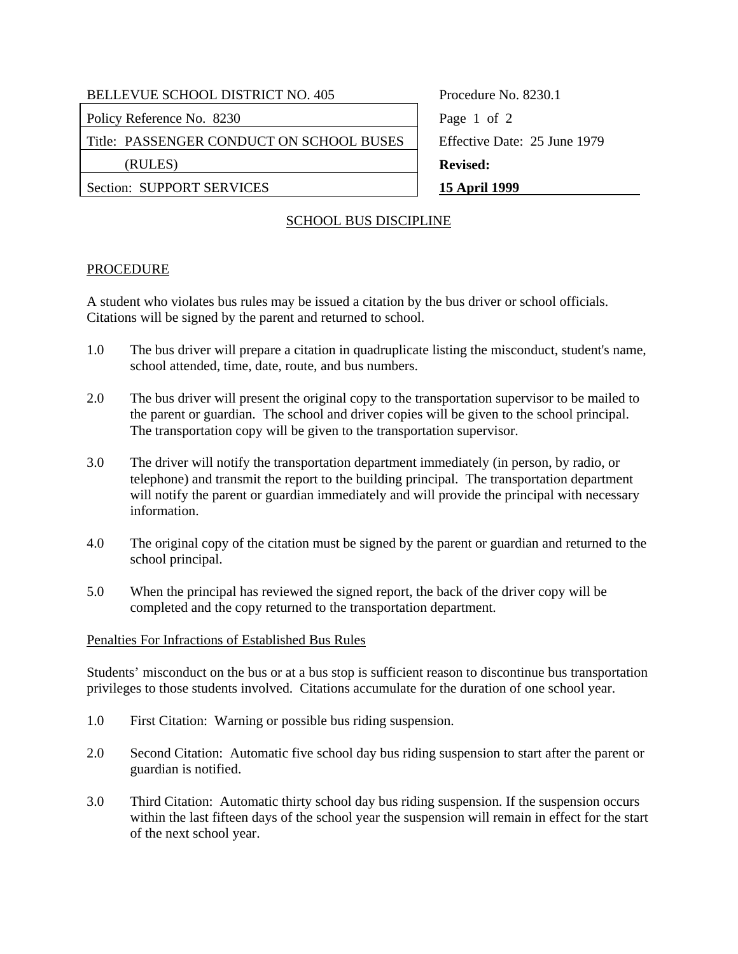# BELLEVUE SCHOOL DISTRICT NO. 405 Procedure No. 8230.1 Policy Reference No. 8230 Page 1 of 2

Title: PASSENGER CONDUCT ON SCHOOL BUSES | Effective Date: 25 June 1979

Section: SUPPORT SERVICES 15 April 1999

(RULES) **Revised:** 

### SCHOOL BUS DISCIPLINE

### PROCEDURE

A student who violates bus rules may be issued a citation by the bus driver or school officials. Citations will be signed by the parent and returned to school.

- 1.0 The bus driver will prepare a citation in quadruplicate listing the misconduct, student's name, school attended, time, date, route, and bus numbers.
- 2.0 The bus driver will present the original copy to the transportation supervisor to be mailed to the parent or guardian. The school and driver copies will be given to the school principal. The transportation copy will be given to the transportation supervisor.
- 3.0 The driver will notify the transportation department immediately (in person, by radio, or telephone) and transmit the report to the building principal. The transportation department will notify the parent or guardian immediately and will provide the principal with necessary information.
- 4.0 The original copy of the citation must be signed by the parent or guardian and returned to the school principal.
- 5.0 When the principal has reviewed the signed report, the back of the driver copy will be completed and the copy returned to the transportation department.

#### Penalties For Infractions of Established Bus Rules

Students' misconduct on the bus or at a bus stop is sufficient reason to discontinue bus transportation privileges to those students involved. Citations accumulate for the duration of one school year.

- 1.0 First Citation: Warning or possible bus riding suspension.
- 2.0 Second Citation: Automatic five school day bus riding suspension to start after the parent or guardian is notified.
- 3.0 Third Citation: Automatic thirty school day bus riding suspension. If the suspension occurs within the last fifteen days of the school year the suspension will remain in effect for the start of the next school year.